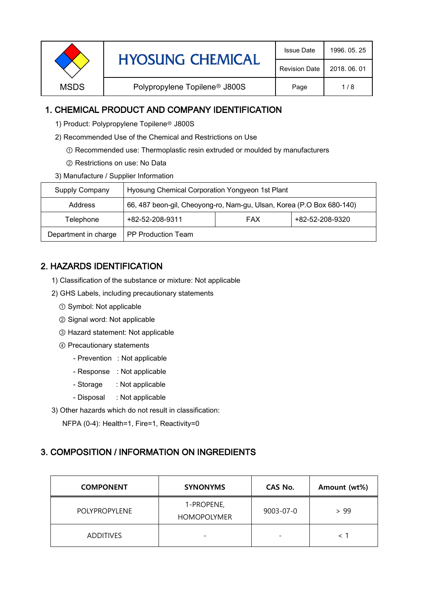| <b>HYOSUNG CHEMICAL</b><br><b>Revision Date</b>                  |              |
|------------------------------------------------------------------|--------------|
|                                                                  | 2018, 06, 01 |
| Polypropylene Topilene <sup>®</sup> J800S<br><b>MSDS</b><br>Page | 1/8          |

# 1. CHEMICAL PRODUCT AND COMPANY IDENTIFICATION

1) Product: Polypropylene Topilene<sup>®</sup> J800S

- 2) Recommended Use of the Chemical and Restrictions on Use
	- ① Recommended use: Thermoplastic resin extruded or moulded by manufacturers
	- ② Restrictions on use: No Data
- 3) Manufacture / Supplier Information

| Supply Company       | Hyosung Chemical Corporation Yongyeon 1st Plant                       |  |  |  |
|----------------------|-----------------------------------------------------------------------|--|--|--|
| Address              | 66, 487 beon-gil, Cheoyong-ro, Nam-gu, Ulsan, Korea (P.O Box 680-140) |  |  |  |
| Telephone            | +82-52-208-9320<br>+82-52-208-9311<br><b>FAX</b>                      |  |  |  |
| Department in charge | PP Production Team                                                    |  |  |  |

# 2. HAZARDS IDENTIFICATION

- 1) Classification of the substance or mixture: Not applicable
- 2) GHS Labels, including precautionary statements
	- ① Symbol: Not applicable
	- ② Signal word: Not applicable
	- ③ Hazard statement: Not applicable
	- ④ Precautionary statements
		- Prevention : Not applicable
		- Response : Not applicable
		- Storage : Not applicable
		- Disposal : Not applicable
- 3) Other hazards which do not result in classification:

NFPA (0-4): Health=1, Fire=1, Reactivity=0

# 3. COMPOSITION / INFORMATION ON INGREDIENTS

| <b>COMPONENT</b>     | <b>SYNONYMS</b>                  | CAS No.   | Amount (wt%) |
|----------------------|----------------------------------|-----------|--------------|
| <b>POLYPROPYLENE</b> | 1-PROPENE,<br><b>HOMOPOLYMER</b> | 9003-07-0 | > 99         |
| <b>ADDITIVES</b>     | $\overline{\phantom{0}}$         |           |              |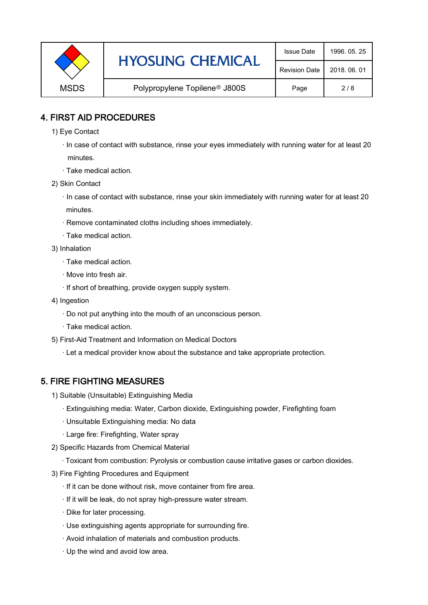|             | <b>HYOSUNG CHEMICAL</b>                   | <b>Issue Date</b>    | 1996, 05, 25 |
|-------------|-------------------------------------------|----------------------|--------------|
|             |                                           | <b>Revision Date</b> | 2018, 06, 01 |
| <b>MSDS</b> | Polypropylene Topilene <sup>®</sup> J800S | Page                 | 2/8          |

### 4. FIRST AID PROCEDURES

- 1) Eye Contact
	- · In case of contact with substance, rinse your eyes immediately with running water for at least 20 minutes.
	- · Take medical action.
- 2) Skin Contact
	- · In case of contact with substance, rinse your skin immediately with running water for at least 20 minutes.
	- · Remove contaminated cloths including shoes immediately.
	- · Take medical action.
- 3) Inhalation
	- · Take medical action.
	- · Move into fresh air.
	- · If short of breathing, provide oxygen supply system.
- 4) Ingestion
	- · Do not put anything into the mouth of an unconscious person.
	- · Take medical action.
- 5) First-Aid Treatment and Information on Medical Doctors
	- · Let a medical provider know about the substance and take appropriate protection.

### 5. FIRE FIGHTING MEASURES

- 1) Suitable (Unsuitable) Extinguishing Media
	- · Extinguishing media: Water, Carbon dioxide, Extinguishing powder, Firefighting foam
	- · Unsuitable Extinguishing media: No data
	- · Large fire: Firefighting, Water spray
- 2) Specific Hazards from Chemical Material
	- · Toxicant from combustion: Pyrolysis or combustion cause irritative gases or carbon dioxides.
- 3) Fire Fighting Procedures and Equipment
	- · If it can be done without risk, move container from fire area.
	- · If it will be leak, do not spray high-pressure water stream.
	- · Dike for later processing.
	- · Use extinguishing agents appropriate for surrounding fire.
	- · Avoid inhalation of materials and combustion products.
	- · Up the wind and avoid low area.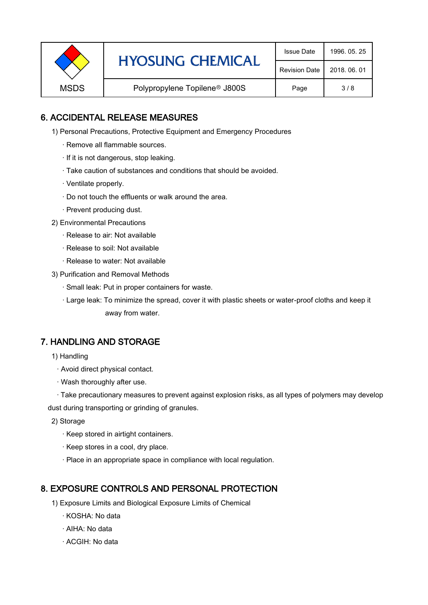|             | <b>HYOSUNG CHEMICAL</b>                   | <b>Issue Date</b>    | 1996, 05, 25 |
|-------------|-------------------------------------------|----------------------|--------------|
|             |                                           | <b>Revision Date</b> | 2018, 06, 01 |
| <b>MSDS</b> | Polypropylene Topilene <sup>®</sup> J800S | Page                 | 3/8          |

### 6. ACCIDENTAL RELEASE MEASURES

- 1) Personal Precautions, Protective Equipment and Emergency Procedures
	- · Remove all flammable sources.
	- · If it is not dangerous, stop leaking.
	- · Take caution of substances and conditions that should be avoided.
	- · Ventilate properly.
	- · Do not touch the effluents or walk around the area.
	- · Prevent producing dust.
- 2) Environmental Precautions
	- · Release to air: Not available
	- · Release to soil: Not available
	- · Release to water: Not available
- 3) Purification and Removal Methods
	- · Small leak: Put in proper containers for waste.
	- ,· Large leak: To minimize the spread, cover it with plastic sheets or water-proof cloths and keep it away from water.

### 7. HANDLING AND STORAGE

- 1) Handling
	- · Avoid direct physical contact.
	- · Wash thoroughly after use.

· Take precautionary measures to prevent against explosion risks, as all types of polymers may develop dust during transporting or grinding of granules.

- 2) Storage
	- · Keep stored in airtight containers.
	- · Keep stores in a cool, dry place.
	- · Place in an appropriate space in compliance with local regulation.

### 8. EXPOSURE CONTROLS AND PERSONAL PROTECTION

- 1) Exposure Limits and Biological Exposure Limits of Chemical
	- · KOSHA: No data
	- · AIHA: No data
	- · ACGIH: No data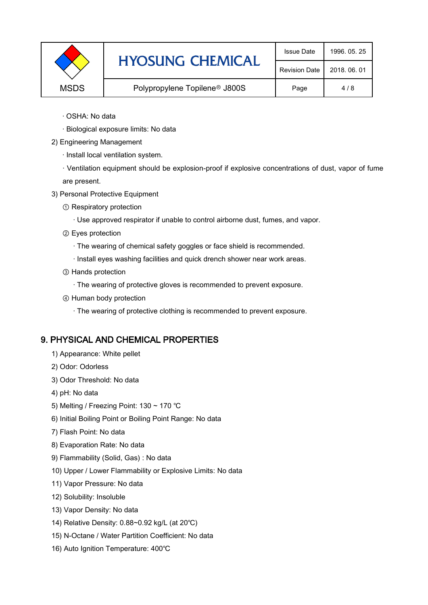|             | <b>HYOSUNG CHEMICAL</b>                   | <b>Issue Date</b>    | 1996, 05, 25 |
|-------------|-------------------------------------------|----------------------|--------------|
|             |                                           | <b>Revision Date</b> | 2018, 06, 01 |
| <b>MSDS</b> | Polypropylene Topilene <sup>®</sup> J800S | Page                 | 4/8          |

- · OSHA: No data
- · Biological exposure limits: No data
- 2) Engineering Management
	- · Install local ventilation system.

· Ventilation equipment should be explosion-proof if explosive concentrations of dust, vapor of fume are present.

- 3) Personal Protective Equipment
	- ① Respiratory protection
		- · Use approved respirator if unable to control airborne dust, fumes, and vapor.
	- ② Eyes protection
		- · The wearing of chemical safety goggles or face shield is recommended.
		- · Install eyes washing facilities and quick drench shower near work areas.
	- ③ Hands protection
		- · The wearing of protective gloves is recommended to prevent exposure.
	- ④ Human body protection
		- · The wearing of protective clothing is recommended to prevent exposure.

# 9. PHYSICAL AND CHEMICAL PROPERTIES

- 1) Appearance: White pellet
- 2) Odor: Odorless
- 3) Odor Threshold: No data
- 4) pH: No data
- 5) Melting / Freezing Point: 130 ~ 170 ℃
- 6) Initial Boiling Point or Boiling Point Range: No data
- 7) Flash Point: No data
- 8) Evaporation Rate: No data
- 9) Flammability (Solid, Gas) : No data
- 10) Upper / Lower Flammability or Explosive Limits: No data
- 11) Vapor Pressure: No data
- 12) Solubility: Insoluble
- 13) Vapor Density: No data
- 14) Relative Density: 0.88~0.92 kg/L (at 20℃)
- 15) N-Octane / Water Partition Coefficient: No data
- 16) Auto Ignition Temperature: 400℃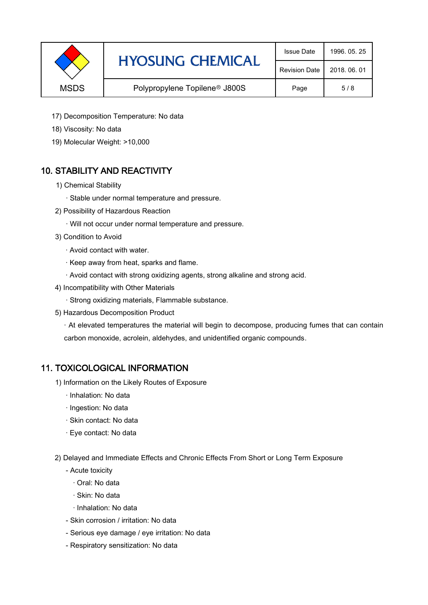|             | <b>HYOSUNG CHEMICAL</b>                   | <b>Issue Date</b>    | 1996, 05, 25 |
|-------------|-------------------------------------------|----------------------|--------------|
|             |                                           | <b>Revision Date</b> | 2018, 06, 01 |
| <b>MSDS</b> | Polypropylene Topilene <sup>®</sup> J800S | Page                 | 5/8          |

- 17) Decomposition Temperature: No data
- 18) Viscosity: No data
- 19) Molecular Weight: >10,000

# 10. STABILITY AND REACTIVITY

- 1) Chemical Stability
	- · Stable under normal temperature and pressure.
- 2) Possibility of Hazardous Reaction
	- · Will not occur under normal temperature and pressure.
- 3) Condition to Avoid
	- · Avoid contact with water.
	- · Keep away from heat, sparks and flame.
	- · Avoid contact with strong oxidizing agents, strong alkaline and strong acid.
- 4) Incompatibility with Other Materials
	- · Strong oxidizing materials, Flammable substance.
- 5) Hazardous Decomposition Product

· At elevated temperatures the material will begin to decompose, producing fumes that can contain carbon monoxide, acrolein, aldehydes, and unidentified organic compounds.

### 11. TOXICOLOGICAL INFORMATION

- 1) Information on the Likely Routes of Exposure
	- · Inhalation: No data
	- · Ingestion: No data
	- · Skin contact: No data
	- · Eye contact: No data
- 2) Delayed and Immediate Effects and Chronic Effects From Short or Long Term Exposure
	- Acute toxicity
		- · Oral: No data
		- · Skin: No data
		- · Inhalation: No data
	- Skin corrosion / irritation: No data
	- Serious eye damage / eye irritation: No data
	- Respiratory sensitization: No data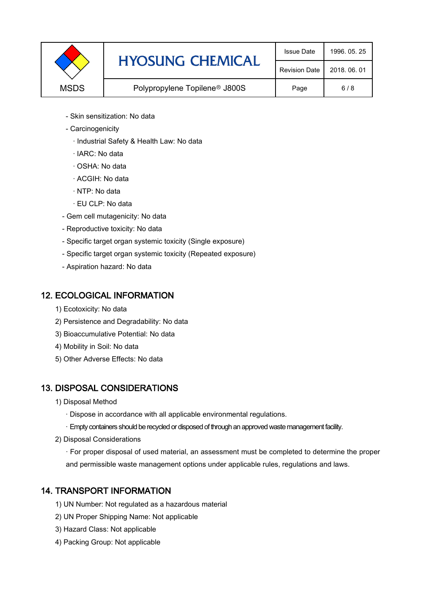|             | <b>HYOSUNG CHEMICAL</b>                   | <b>Issue Date</b>    | 1996, 05, 25 |
|-------------|-------------------------------------------|----------------------|--------------|
|             |                                           | <b>Revision Date</b> | 2018, 06, 01 |
| <b>MSDS</b> | Polypropylene Topilene <sup>®</sup> J800S | Page                 | 6/8          |

- Skin sensitization: No data
- Carcinogenicity
	- · Industrial Safety & Health Law: No data
	- · IARC: No data
	- · OSHA: No data
	- · ACGIH: No data
	- · NTP: No data
	- · EU CLP: No data
- Gem cell mutagenicity: No data
- Reproductive toxicity: No data
- Specific target organ systemic toxicity (Single exposure)
- Specific target organ systemic toxicity (Repeated exposure)
- Aspiration hazard: No data

### 12. ECOLOGICAL INFORMATION

- 1) Ecotoxicity: No data
- 2) Persistence and Degradability: No data
- 3) Bioaccumulative Potential: No data
- 4) Mobility in Soil: No data
- 5) Other Adverse Effects: No data

# 13. DISPOSAL CONSIDERATIONS

- 1) Disposal Method
	- · Dispose in accordance with all applicable environmental regulations.
	- · Empty containers should be recycled or disposed of through an approved waste management facility.
- 2) Disposal Considerations
	- · For proper disposal of used material, an assessment must be completed to determine the proper and permissible waste management options under applicable rules, regulations and laws.

# 14. TRANSPORT INFORMATION

- 1) UN Number: Not regulated as a hazardous material
- 2) UN Proper Shipping Name: Not applicable
- 3) Hazard Class: Not applicable
- 4) Packing Group: Not applicable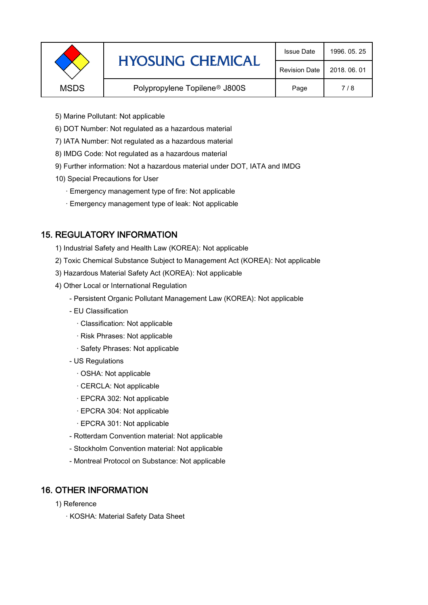|             | <b>HYOSUNG CHEMICAL</b>                   | <b>Issue Date</b>    | 1996, 05, 25 |
|-------------|-------------------------------------------|----------------------|--------------|
|             |                                           | <b>Revision Date</b> | 2018, 06, 01 |
| <b>MSDS</b> | Polypropylene Topilene <sup>®</sup> J800S | Page                 | 7/8          |
|             |                                           |                      |              |

- 5) Marine Pollutant: Not applicable
- 6) DOT Number: Not regulated as a hazardous material
- 7) IATA Number: Not regulated as a hazardous material
- 8) IMDG Code: Not regulated as a hazardous material
- 9) Further information: Not a hazardous material under DOT, IATA and IMDG
- 10) Special Precautions for User
	- · Emergency management type of fire: Not applicable
	- · Emergency management type of leak: Not applicable

### 15. REGULATORY INFORMATION

- 1) Industrial Safety and Health Law (KOREA): Not applicable
- 2) Toxic Chemical Substance Subject to Management Act (KOREA): Not applicable
- 3) Hazardous Material Safety Act (KOREA): Not applicable
- 4) Other Local or International Regulation
	- Persistent Organic Pollutant Management Law (KOREA): Not applicable
	- EU Classification
		- · Classification: Not applicable
		- · Risk Phrases: Not applicable
		- · Safety Phrases: Not applicable
	- US Regulations
		- · OSHA: Not applicable
		- · CERCLA: Not applicable
		- · EPCRA 302: Not applicable
		- · EPCRA 304: Not applicable
		- · EPCRA 301: Not applicable
	- Rotterdam Convention material: Not applicable
	- Stockholm Convention material: Not applicable
	- Montreal Protocol on Substance: Not applicable

### 16. OTHER INFORMATION

- 1) Reference
	- · KOSHA: Material Safety Data Sheet